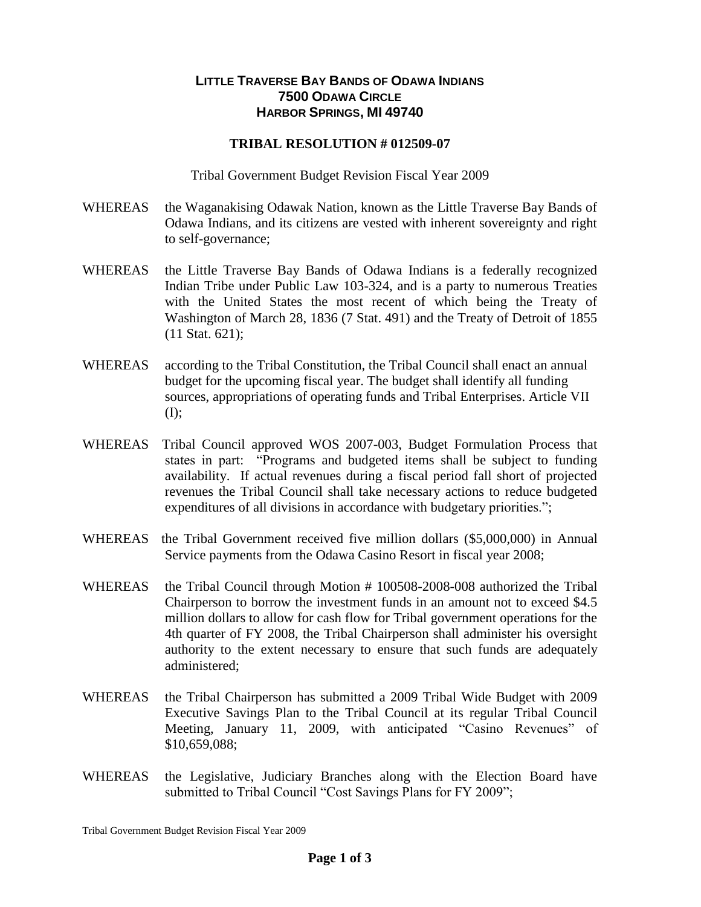## **LITTLE TRAVERSE BAY BANDS OF ODAWA INDIANS 7500 ODAWA CIRCLE HARBOR SPRINGS, MI 49740**

## **TRIBAL RESOLUTION # 012509-07**

Tribal Government Budget Revision Fiscal Year 2009

- WHEREAS the Waganakising Odawak Nation, known as the Little Traverse Bay Bands of Odawa Indians, and its citizens are vested with inherent sovereignty and right to self-governance;
- WHEREAS the Little Traverse Bay Bands of Odawa Indians is a federally recognized Indian Tribe under Public Law 103-324, and is a party to numerous Treaties with the United States the most recent of which being the Treaty of Washington of March 28, 1836 (7 Stat. 491) and the Treaty of Detroit of 1855 (11 Stat. 621);
- WHEREAS according to the Tribal Constitution, the Tribal Council shall enact an annual budget for the upcoming fiscal year. The budget shall identify all funding sources, appropriations of operating funds and Tribal Enterprises. Article VII (I);
- WHEREAS Tribal Council approved WOS 2007-003, Budget Formulation Process that states in part: "Programs and budgeted items shall be subject to funding availability. If actual revenues during a fiscal period fall short of projected revenues the Tribal Council shall take necessary actions to reduce budgeted expenditures of all divisions in accordance with budgetary priorities.";
- WHEREAS the Tribal Government received five million dollars (\$5,000,000) in Annual Service payments from the Odawa Casino Resort in fiscal year 2008;
- WHEREAS the Tribal Council through Motion # 100508-2008-008 authorized the Tribal Chairperson to borrow the investment funds in an amount not to exceed \$4.5 million dollars to allow for cash flow for Tribal government operations for the 4th quarter of FY 2008, the Tribal Chairperson shall administer his oversight authority to the extent necessary to ensure that such funds are adequately administered;
- WHEREAS the Tribal Chairperson has submitted a 2009 Tribal Wide Budget with 2009 Executive Savings Plan to the Tribal Council at its regular Tribal Council Meeting, January 11, 2009, with anticipated "Casino Revenues" of \$10,659,088;
- WHEREAS the Legislative, Judiciary Branches along with the Election Board have submitted to Tribal Council "Cost Savings Plans for FY 2009";

Tribal Government Budget Revision Fiscal Year 2009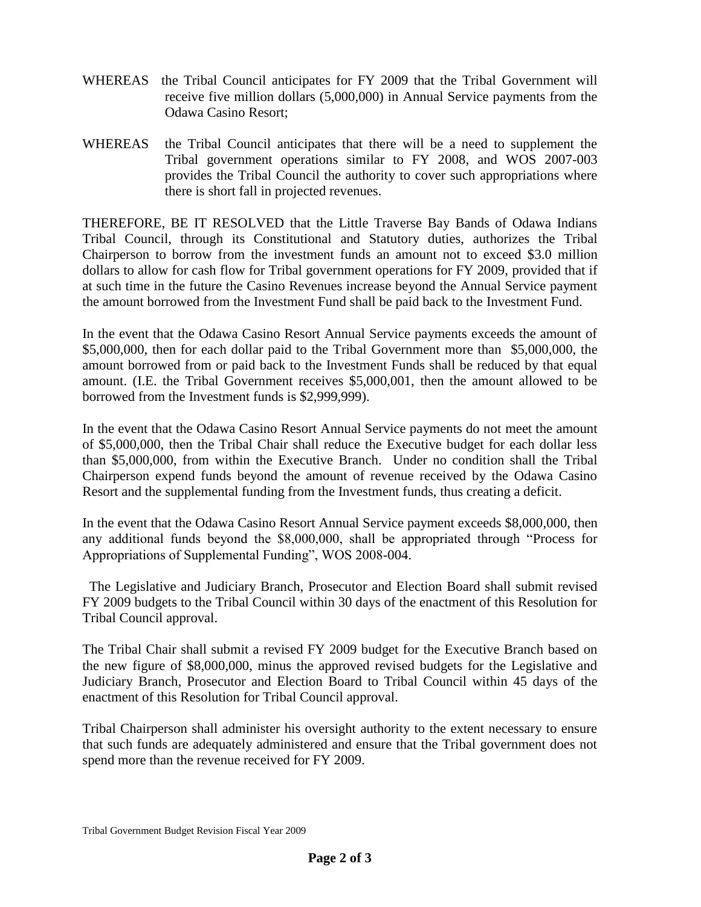- WHEREAS the Tribal Council anticipates for FY 2009 that the Tribal Government will receive five million dollars (5,000,000) in Annual Service payments from the Odawa Casino Resort;
- WHEREAS the Tribal Council anticipates that there will be a need to supplement the Tribal government operations similar to FY 2008, and WOS 2007-003 provides the Tribal Council the authority to cover such appropriations where there is short fall in projected revenues.

THEREFORE, BE IT RESOLVED that the Little Traverse Bay Bands of Odawa Indians Tribal Council, through its Constitutional and Statutory duties, authorizes the Tribal Chairperson to borrow from the investment funds an amount not to exceed \$3.0 million dollars to allow for cash flow for Tribal government operations for FY 2009, provided that if at such time in the future the Casino Revenues increase beyond the Annual Service payment the amount borrowed from the Investment Fund shall be paid back to the Investment Fund.

In the event that the Odawa Casino Resort Annual Service payments exceeds the amount of \$5,000,000, then for each dollar paid to the Tribal Government more than \$5,000,000, the amount borrowed from or paid back to the Investment Funds shall be reduced by that equal amount. (I.E. the Tribal Government receives \$5,000,001, then the amount allowed to be borrowed from the Investment funds is \$2,999,999).

In the event that the Odawa Casino Resort Annual Service payments do not meet the amount of \$5,000,000, then the Tribal Chair shall reduce the Executive budget for each dollar less than \$5,000,000, from within the Executive Branch. Under no condition shall the Tribal Chairperson expend funds beyond the amount of revenue received by the Odawa Casino Resort and the supplemental funding from the Investment funds, thus creating a deficit.

In the event that the Odawa Casino Resort Annual Service payment exceeds \$8,000,000, then any additional funds beyond the \$8,000,000, shall be appropriated through "Process for Appropriations of Supplemental Funding", WOS 2008-004.

The Legislative and Judiciary Branch, Prosecutor and Election Board shall submit revised FY 2009 budgets to the Tribal Council within 30 days of the enactment of this Resolution for Tribal Council approval.

The Tribal Chair shall submit a revised FY 2009 budget for the Executive Branch based on the new figure of \$8,000,000, minus the approved revised budgets for the Legislative and Judiciary Branch, Prosecutor and Election Board to Tribal Council within 45 days of the enactment of this Resolution for Tribal Council approval.

Tribal Chairperson shall administer his oversight authority to the extent necessary to ensure that such funds are adequately administered and ensure that the Tribal government does not spend more than the revenue received for FY 2009.